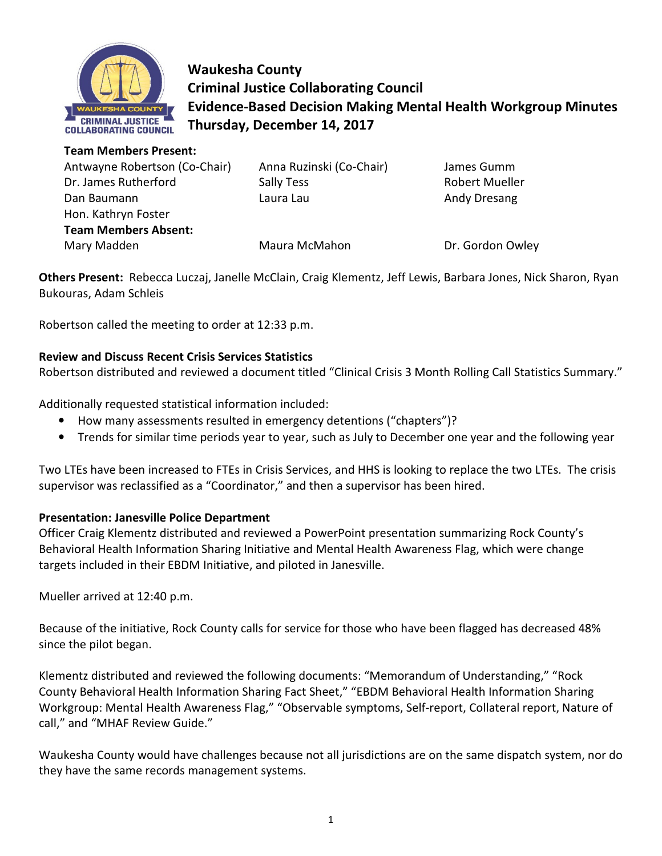

**Waukesha County Criminal Justice Collaborating Council Evidence-Based Decision Making Mental Health Workgroup Minutes Thursday, December 14, 2017** 

| <b>Team Members Present:</b>  |                          |                       |
|-------------------------------|--------------------------|-----------------------|
| Antwayne Robertson (Co-Chair) | Anna Ruzinski (Co-Chair) | James Gumm            |
| Dr. James Rutherford          | Sally Tess               | <b>Robert Mueller</b> |
| Dan Baumann                   | Laura Lau                | Andy Dresang          |
| Hon. Kathryn Foster           |                          |                       |
| <b>Team Members Absent:</b>   |                          |                       |
| Mary Madden                   | Maura McMahon            | Dr. Gordon Owley      |

**Others Present:** Rebecca Luczaj, Janelle McClain, Craig Klementz, Jeff Lewis, Barbara Jones, Nick Sharon, Ryan Bukouras, Adam Schleis

Robertson called the meeting to order at 12:33 p.m.

### **Review and Discuss Recent Crisis Services Statistics**

Robertson distributed and reviewed a document titled "Clinical Crisis 3 Month Rolling Call Statistics Summary."

Additionally requested statistical information included:

- How many assessments resulted in emergency detentions ("chapters")?
- Trends for similar time periods year to year, such as July to December one year and the following year

Two LTEs have been increased to FTEs in Crisis Services, and HHS is looking to replace the two LTEs. The crisis supervisor was reclassified as a "Coordinator," and then a supervisor has been hired.

#### **Presentation: Janesville Police Department**

Officer Craig Klementz distributed and reviewed a PowerPoint presentation summarizing Rock County's Behavioral Health Information Sharing Initiative and Mental Health Awareness Flag, which were change targets included in their EBDM Initiative, and piloted in Janesville.

Mueller arrived at 12:40 p.m.

Because of the initiative, Rock County calls for service for those who have been flagged has decreased 48% since the pilot began.

Klementz distributed and reviewed the following documents: "Memorandum of Understanding," "Rock County Behavioral Health Information Sharing Fact Sheet," "EBDM Behavioral Health Information Sharing Workgroup: Mental Health Awareness Flag," "Observable symptoms, Self-report, Collateral report, Nature of call," and "MHAF Review Guide."

Waukesha County would have challenges because not all jurisdictions are on the same dispatch system, nor do they have the same records management systems.